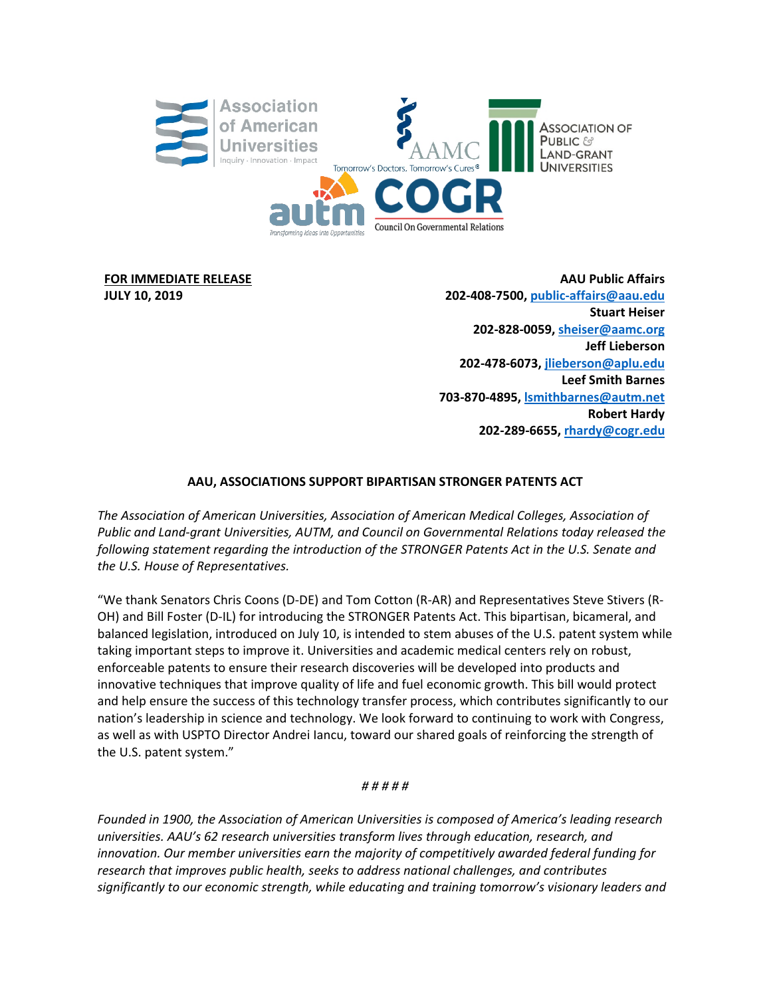

**FOR IMMEDIATE RELEASE JULY 10, 2019**

**AAU Public Affairs 202-408-7500, [public-affairs@aau.edu](mailto:public-affairs@aau.edu) Stuart Heiser 202-828-0059[, sheiser@aamc.org](mailto:sheiser@aamc.org) Jeff Lieberson 202-478-6073, [jlieberson@aplu.edu](mailto:jlieberson@aplu.edu) Leef Smith Barnes 703-870-4895[, lsmithbarnes@autm.net](mailto:lsmithbarnes@autm.net) Robert Hardy 202-289-6655, [rhardy@cogr.edu](mailto:rhardy@cogr.edu)**

## **AAU, ASSOCIATIONS SUPPORT BIPARTISAN STRONGER PATENTS ACT**

*The Association of American Universities, Association of American Medical Colleges, Association of Public and Land-grant Universities, AUTM, and Council on Governmental Relations today released the following statement regarding the introduction of the STRONGER Patents Act in the U.S. Senate and the U.S. House of Representatives.*

"We thank Senators Chris Coons (D-DE) and Tom Cotton (R-AR) and Representatives Steve Stivers (R-OH) and Bill Foster (D-IL) for introducing the STRONGER Patents Act. This bipartisan, bicameral, and balanced legislation, introduced on July 10, is intended to stem abuses of the U.S. patent system while taking important steps to improve it. Universities and academic medical centers rely on robust, enforceable patents to ensure their research discoveries will be developed into products and innovative techniques that improve quality of life and fuel economic growth. This bill would protect and help ensure the success of this technology transfer process, which contributes significantly to our nation's leadership in science and technology. We look forward to continuing to work with Congress, as well as with USPTO Director Andrei Iancu, toward our shared goals of reinforcing the strength of the U.S. patent system."

## *# # # # #*

*Founded in 1900, the Association of American Universities is composed of America's leading research universities. AAU's 62 research universities transform lives through education, research, and innovation. Our member universities earn the majority of competitively awarded federal funding for research that improves public health, seeks to address national challenges, and contributes significantly to our economic strength, while educating and training tomorrow's visionary leaders and*